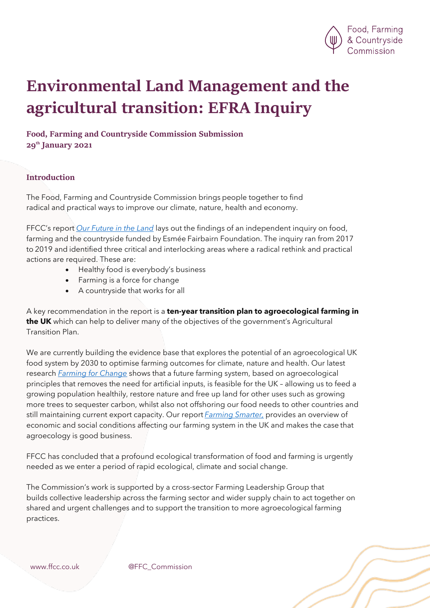

# Environmental Land Management and the agricultural transition: EFRA Inquiry

# Food, Farming and Countryside Commission Submission 29<sup>th</sup> January 2021

#### Introduction

The Food, Farming and Countryside Commission brings people together to find radical and practical ways to improve our climate, nature, health and economy.

FFCC's report *Our Future in the Land* lays out the findings of an independent inquiry on food, farming and the countryside funded by Esmée Fairbairn Foundation. The inquiry ran from 2017 to 2019 and identified three critical and interlocking areas where a radical rethink and practical actions are required. These are:     

- Healthy food is everybody's business
- Farming is a force for change
- A countryside that works for all

A key recommendation in the report is a **ten-year transition plan to agroecological farming in the UK** which can help to deliver many of the objectives of the government's Agricultural Transition Plan.

We are currently building the evidence base that explores the potential of an agroecological UK food system by 2030 to optimise farming outcomes for climate, nature and health. Our latest research *Farming for Change* shows that a future farming system, based on agroecological principles that removes the need for artificial inputs, is feasible for the UK – allowing us to feed a growing population healthily, restore nature and free up land for other uses such as growing more trees to sequester carbon, whilst also not offshoring our food needs to other countries and still maintaining current export capacity. Our report *Farming Smarter,* provides an overview of economic and social conditions affecting our farming system in the UK and makes the case that agroecology is good business.

FFCC has concluded that a profound ecological transformation of food and farming is urgently needed as we enter a period of rapid ecological, climate and social change.

The Commission's work is supported by a cross-sector Farming Leadership Group that builds collective leadership across the farming sector and wider supply chain to act together on shared and urgent challenges and to support the transition to more agroecological farming practices.

www.ffcc.co.uk @FFC\_Commission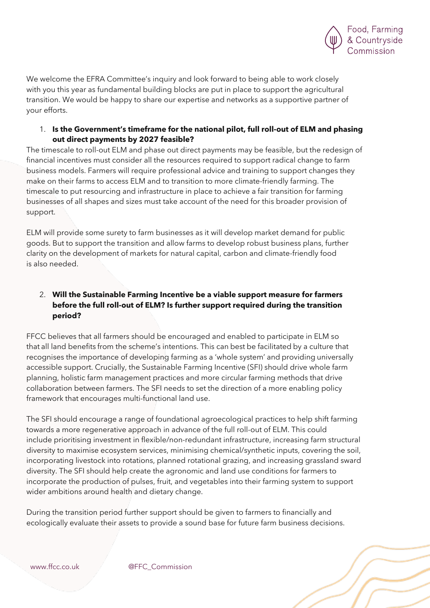

We welcome the EFRA Committee's inquiry and look forward to being able to work closely with you this year as fundamental building blocks are put in place to support the agricultural transition. We would be happy to share our expertise and networks as a supportive partner of your efforts.

#### 1. **Is the Government's timeframe for the national pilot, full roll-out of ELM and phasing out direct payments by 2027 feasible?**

The timescale to roll-out ELM and phase out direct payments may be feasible, but the redesign of financial incentives must consider all the resources required to support radical change to farm business models. Farmers will require professional advice and training to support changes they make on their farms to access ELM and to transition to more climate-friendly farming. The timescale to put resourcing and infrastructure in place to achieve a fair transition for farming businesses of all shapes and sizes must take account of the need for this broader provision of support.

ELM will provide some surety to farm businesses as it will develop market demand for public goods. But to support the transition and allow farms to develop robust business plans, further clarity on the development of markets for natural capital, carbon and climate-friendly food is also needed.

# 2. **Will the Sustainable Farming Incentive be a viable support measure for farmers before the full roll-out of ELM? Is further support required during the transition period?**

FFCC believes that all farmers should be encouraged and enabled to participate in ELM so that all land benefits from the scheme's intentions. This can best be facilitated by a culture that recognises the importance of developing farming as a 'whole system' and providing universally accessible support. Crucially, the Sustainable Farming Incentive (SFI) should drive whole farm planning, holistic farm management practices and more circular farming methods that drive collaboration between farmers. The SFI needs to set the direction of a more enabling policy framework that encourages multi-functional land use.

The SFI should encourage a range of foundational agroecological practices to help shift farming towards a more regenerative approach in advance of the full roll-out of ELM. This could include prioritising investment in flexible/non-redundant infrastructure, increasing farm structural diversity to maximise ecosystem services, minimising chemical/synthetic inputs, covering the soil, incorporating livestock into rotations, planned rotational grazing, and increasing grassland sward diversity. The SFI should help create the agronomic and land use conditions for farmers to incorporate the production of pulses, fruit, and vegetables into their farming system to support wider ambitions around health and dietary change.

During the transition period further support should be given to farmers to financially and ecologically evaluate their assets to provide a sound base for future farm business decisions.

www.ffcc.co.uk @FFC\_Commission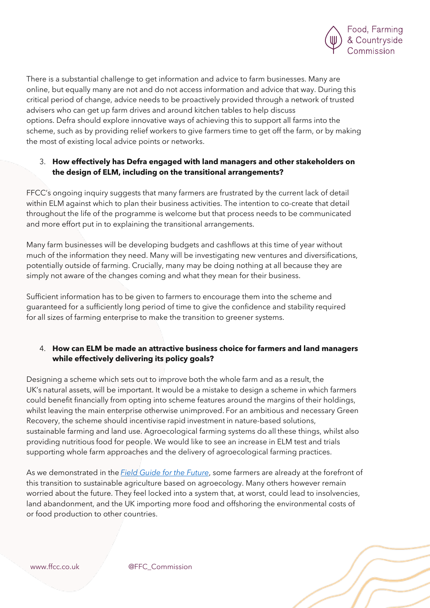

There is a substantial challenge to get information and advice to farm businesses. Many are online, but equally many are not and do not access information and advice that way. During this critical period of change, advice needs to be proactively provided through a network of trusted advisers who can get up farm drives and around kitchen tables to help discuss options. Defra should explore innovative ways of achieving this to support all farms into the scheme, such as by providing relief workers to give farmers time to get off the farm, or by making the most of existing local advice points or networks.

#### 3. **How effectively has Defra engaged with land managers and other stakeholders on the design of ELM, including on the transitional arrangements?**

FFCC's ongoing inquiry suggests that many farmers are frustrated by the current lack of detail within ELM against which to plan their business activities. The intention to co-create that detail throughout the life of the programme is welcome but that process needs to be communicated and more effort put in to explaining the transitional arrangements.

Many farm businesses will be developing budgets and cashflows at this time of year without much of the information they need. Many will be investigating new ventures and diversifications, potentially outside of farming. Crucially, many may be doing nothing at all because they are simply not aware of the changes coming and what they mean for their business.

Sufficient information has to be given to farmers to encourage them into the scheme and guaranteed for a sufficiently long period of time to give the confidence and stability required for all sizes of farming enterprise to make the transition to greener systems.

# 4. **How can ELM be made an attractive business choice for farmers and land managers while effectively delivering its policy goals?**

Designing a scheme which sets out to improve both the whole farm and as a result, the UK's natural assets, will be important. It would be a mistake to design a scheme in which farmers could benefit financially from opting into scheme features around the margins of their holdings, whilst leaving the main enterprise otherwise unimproved. For an ambitious and necessary Green Recovery, the scheme should incentivise rapid investment in nature-based solutions, sustainable farming and land use. Agroecological farming systems do all these things, whilst also providing nutritious food for people. We would like to see an increase in ELM test and trials supporting whole farm approaches and the delivery of agroecological farming practices.

As we demonstrated in the *Field Guide for the Future*, some farmers are already at the forefront of this transition to sustainable agriculture based on agroecology. Many others however remain worried about the future. They feel locked into a system that, at worst, could lead to insolvencies, land abandonment, and the UK importing more food and offshoring the environmental costs of or food production to other countries.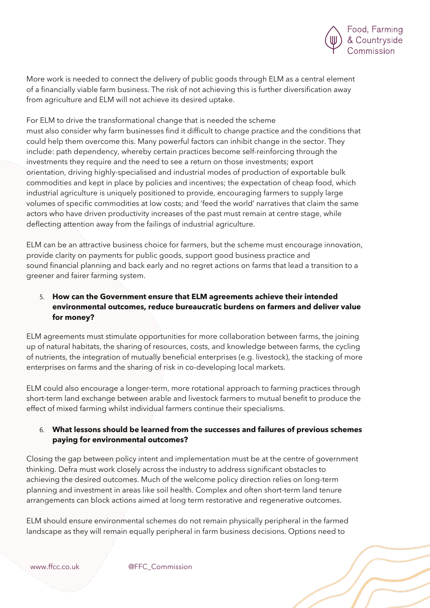

More work is needed to connect the delivery of public goods through ELM as a central element of a financially viable farm business. The risk of not achieving this is further diversification away from agriculture and ELM will not achieve its desired uptake.

For ELM to drive the transformational change that is needed the scheme must also consider why farm businesses find it difficult to change practice and the conditions that could help them overcome this. Many powerful factors can inhibit change in the sector. They include: path dependency, whereby certain practices become self-reinforcing through the investments they require and the need to see a return on those investments; export orientation, driving highly-specialised and industrial modes of production of exportable bulk commodities and kept in place by policies and incentives; the expectation of cheap food, which industrial agriculture is uniquely positioned to provide, encouraging farmers to supply large volumes of specific commodities at low costs; and 'feed the world' narratives that claim the same actors who have driven productivity increases of the past must remain at centre stage, while deflecting attention away from the failings of industrial agriculture.

ELM can be an attractive business choice for farmers, but the scheme must encourage innovation, provide clarity on payments for public goods, support good business practice and sound financial planning and back early and no regret actions on farms that lead a transition to a greener and fairer farming system.

# 5. **How can the Government ensure that ELM agreements achieve their intended environmental outcomes, reduce bureaucratic burdens on farmers and deliver value for money?**

ELM agreements must stimulate opportunities for more collaboration between farms, the joining up of natural habitats, the sharing of resources, costs, and knowledge between farms, the cycling of nutrients, the integration of mutually beneficial enterprises (e.g. livestock), the stacking of more enterprises on farms and the sharing of risk in co-developing local markets.

ELM could also encourage a longer-term, more rotational approach to farming practices through short-term land exchange between arable and livestock farmers to mutual benefit to produce the effect of mixed farming whilst individual farmers continue their specialisms.

#### 6. **What lessons should be learned from the successes and failures of previous schemes paying for environmental outcomes?**

Closing the gap between policy intent and implementation must be at the centre of government thinking. Defra must work closely across the industry to address significant obstacles to achieving the desired outcomes. Much of the welcome policy direction relies on long-term planning and investment in areas like soil health. Complex and often short-term land tenure arrangements can block actions aimed at long term restorative and regenerative outcomes.

ELM should ensure environmental schemes do not remain physically peripheral in the farmed landscape as they will remain equally peripheral in farm business decisions. Options need to

www.ffcc.co.uk @FFC\_Commission